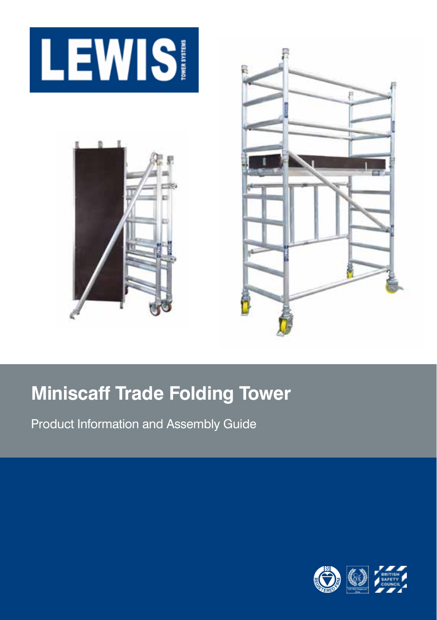





# **Miniscaff Trade Folding Tower**

Product Information and Assembly Guide

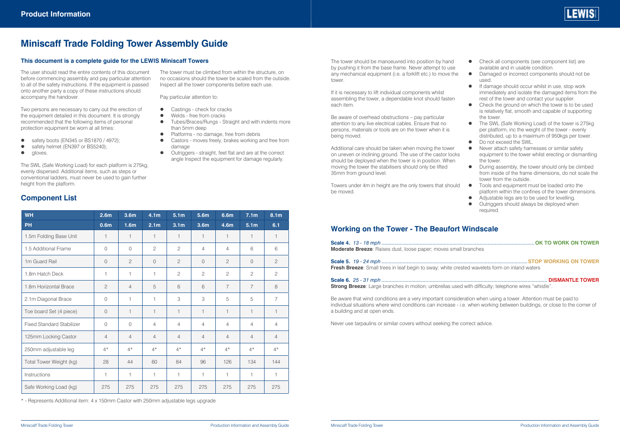

### **Miniscaff Trade Folding Tower Assembly Guide**

#### **This document is a complete guide for the LEWIS Miniscaff Towers**

The user should read the entire contents of this document before commencing assembly and pay particular attention to all of the safety instructions. If the equipment is passed onto another party a copy of these instructions should accompany the handover.

Two persons are necessary to carry out the erection of the equipment detailed in this document. It is strongly recommended that the following items of personal protection equipment be worn at all times:

- $\bullet$  safety boots (EN345 or BS1870 / 4972);
- safety helmet (EN397 or BS5240);<br>• aloves
- z gloves.

The SWL (Safe Working Load) for each platform is 275kg, evenly dispersed. Additional items, such as steps or conventional ladders, must never be used to gain further height from the platform.

#### **Component List**

| <b>WH</b>                        | 2.6 <sub>m</sub> | 3.6m             | 4.1 <sub>m</sub> | 5.1 <sub>m</sub> | 5.6m             | 6.6m           | 7.1 <sub>m</sub> | 8.1 <sub>m</sub> |
|----------------------------------|------------------|------------------|------------------|------------------|------------------|----------------|------------------|------------------|
| <b>PH</b>                        | 0.6 <sub>m</sub> | 1.6 <sub>m</sub> | 2.1 <sub>m</sub> | 3.1 <sub>m</sub> | 3.6 <sub>m</sub> | 4.6m           | 5.1 <sub>m</sub> | 6.1              |
| 1.5m Folding Base Unit           | 1                | $\mathbf{1}$     | 1                | 1                | 1                | 1              | 1                | 1                |
| 1.5 Additional Frame             | $\Omega$         | $\Omega$         | $\mathfrak{D}$   | $\overline{c}$   | $\overline{4}$   | $\overline{4}$ | 6                | 6                |
| 1m Guard Rail                    | $\Omega$         | $\overline{c}$   | $\Omega$         | $\overline{c}$   | $\Omega$         | $\mathbf{2}$   | $\Omega$         | $\overline{c}$   |
| 1.8m Hatch Deck                  | 1                | 1                | 1                | $\overline{c}$   | $\overline{c}$   | $\mathbf{2}$   | $\overline{c}$   | $\overline{c}$   |
| 1.8m Horizontal Brace            | $\overline{c}$   | $\overline{4}$   | 5                | 6                | 6                | $\overline{7}$ | $\overline{7}$   | 8                |
| 2.1m Diagonal Brace              | $\Omega$         | 1                | 1                | 3                | 3                | 5              | 5                | $\overline{7}$   |
| Toe board Set (4 piece)          | $\Omega$         | 1                | 1                | 1                | 1                | 1              | 1                | 1                |
| <b>Fixed Standard Stabilizer</b> | $\Omega$         | 0                | $\overline{4}$   | $\overline{4}$   | $\overline{4}$   | $\overline{4}$ | 4                | $\overline{4}$   |
| 125mm Locking Castor             | $\overline{4}$   | 4                | $\overline{4}$   | $\overline{4}$   | $\overline{4}$   | $\overline{4}$ | $\overline{4}$   | $\overline{4}$   |
| 250mm adjustable leg             | $4*$             | $4^{\star}$      | $4^{\star}$      | $4^{\star}$      | $4*$             | $4*$           | $4^{\star}$      | $4^{\star}$      |
| Total Tower Weight (kg)          | 28               | 44               | 60               | 84               | 96               | 126            | 134              | 144              |
| Instructions                     | 1                | 1                | 1                | 1                | 1                | 1              | 1                | 1                |
| Safe Working Load (kg)           | 275              | 275              | 275              | 275              | 275              | 275            | 275              | 275              |

\* - Represents Additional item: 4 x 150mm Castor with 250mm adjustable legs upgrade

The tower must be climbed from within the structure, on no occasions should the tower be scaled from the outside. Inspect all the tower components before each use.

Pay particular attention to:

- Castings check for cracks
- Welds free from cracks
- Tubes/Braces/Rungs Straight and with indents more than 5mm deep
- Platforms no damage, free from debris
- Castors moves freely, brakes working and free from damage
	- Outriggers straight, feet flat and are at the correct angle Inspect the equipment for damage regularly.

The tower should be manoeuvred into position by hand by pushing it from the base frame. Never attempt to use any mechanical equipment (i.e. a forklift etc.) to move the tower.

If it is necessary to lift individual components whilst assembling the tower, a dependable knot should fasten each item.

Be aware of overhead obstructions – pay particular attention to any live electrical cables. Ensure that no persons, materials or tools are on the tower when it is being moved.

Additional care should be taken when moving the tower on uneven or inclining ground. The use of the castor locks should be deployed when the tower is in position. When moving the tower the stabilisers should only be lifted 35mm from ground level.

Towers under 4m in height are the only towers that should be moved.

#### • Check all components (see component list) are available and in usable condition.

- $\bullet$  Damaged or incorrect components should not be used.
- If damage should occur whilst in use, stop work immediately and isolate the damaged items from the rest of the tower and contact your supplier.
- $\bullet$  Check the ground on which the tower is to be used is relatively flat, smooth and capable of supporting the tower.
- The SWL (Safe Working Load) of the tower is 275kg per platform, inc the weight of the tower - evenly distributed, up to a maximum of 950kgs per tower. Do not exceed the SWL.
- Never attach safety harnesses or similar safety equipment to the tower whilst erecting or dismantling the tower.
- During assembly, the tower should only be climbed from inside of the frame dimensions, do not scale the tower from the outside.
- Tools and equipment must be loaded onto the platform within the confines of the tower dimensions. Adjustable legs are to be used for levelling.
- Outriggers should always be deployed when required.

#### **Working on the Tower - The Beaufort Windscale**

| <b>Moderate Breeze:</b> Raises dust, loose paper; moves small branches                               |  |
|------------------------------------------------------------------------------------------------------|--|
| <b>Fresh Breeze:</b> Small trees in leaf begin to sway; white crested wavelets form on inland waters |  |
|                                                                                                      |  |

**Strong Breeze**: Large branches in motion; umbrellas used with difficulty; telephone wires "whistle".

Be aware that wind conditions are a very important consideration when using a tower. Attention must be paid to individual situations where wind conditions can increase - i.e. when working between buildings, or close to the corner of a building and at open ends.

Never use tarpaulins or similar covers without seeking the correct advice.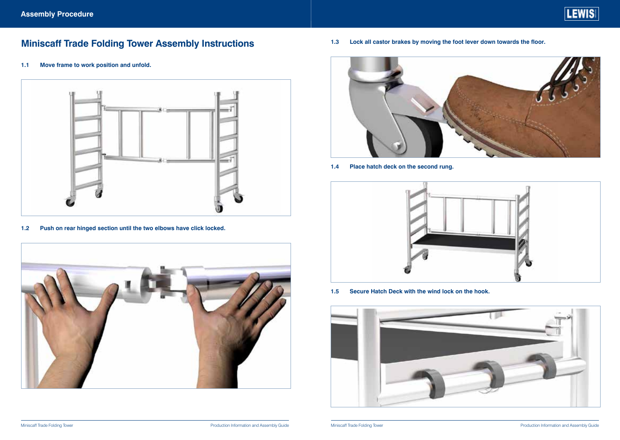## **Miniscaff Trade Folding Tower Assembly Instructions**

**1.1 Move frame to work position and unfold.**



**1.2 Push on rear hinged section until the two elbows have click locked.**



**1.3 Lock all castor brakes by moving the foot lever down towards the floor.**



**1.4 Place hatch deck on the second rung.**



**1.5 Secure Hatch Deck with the wind lock on the hook.**

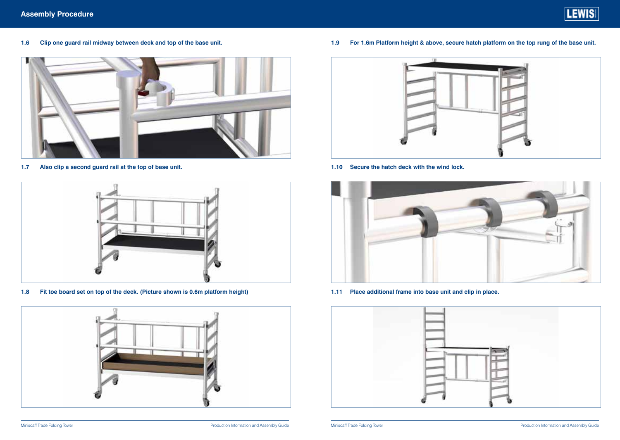**1.6 Clip one guard rail midway between deck and top of the base unit.**



**1.7 Also clip a second guard rail at the top of base unit.**



**1.8 Fit toe board set on top of the deck. (Picture shown is 0.6m platform height)**



**1.9 For 1.6m Platform height & above, secure hatch platform on the top rung of the base unit.**



**1.10 Secure the hatch deck with the wind lock.**



**1.11 Place additional frame into base unit and clip in place.**

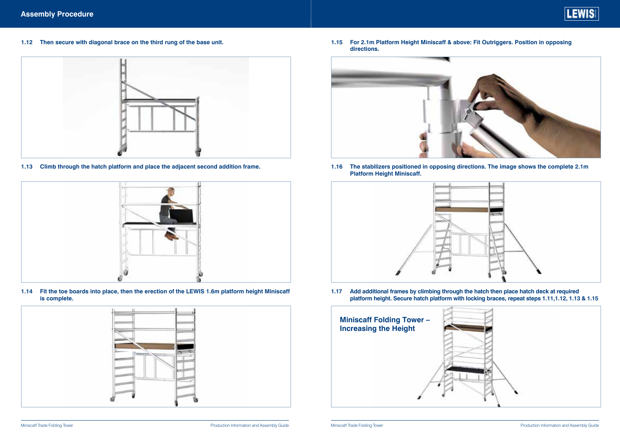

**1.12 Then secure with diagonal brace on the third rung of the base unit.**



**1.13 Climb through the hatch platform and place the adjacent second addition frame.**



**1.14 Fit the toe boards into place, then the erection of the LEWIS 1.6m platform height Miniscaff is complete.**



**1.15 For 2.1m Platform Height Miniscaff & above: Fit Outriggers. Position in opposing directions.**



**1.16 The stabilizers positioned in opposing directions. The image shows the complete 2.1m Platform Height Miniscaff.**



**1.17 Add additional frames by climbing through the hatch then place hatch deck at required platform height. Secure hatch platform with locking braces, repeat steps 1.11,1.12, 1.13 & 1.15**